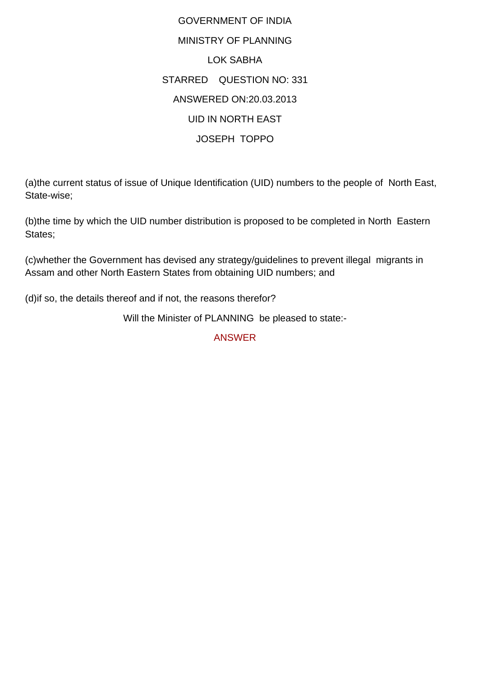## GOVERNMENT OF INDIA MINISTRY OF PLANNING LOK SABHA STARRED QUESTION NO: 331 ANSWERED ON:20.03.2013 UID IN NORTH EAST JOSEPH TOPPO

(a)the current status of issue of Unique Identification (UID) numbers to the people of North East, State-wise;

(b)the time by which the UID number distribution is proposed to be completed in North Eastern States;

(c)whether the Government has devised any strategy/guidelines to prevent illegal migrants in Assam and other North Eastern States from obtaining UID numbers; and

(d)if so, the details thereof and if not, the reasons therefor?

Will the Minister of PLANNING be pleased to state:-

ANSWER